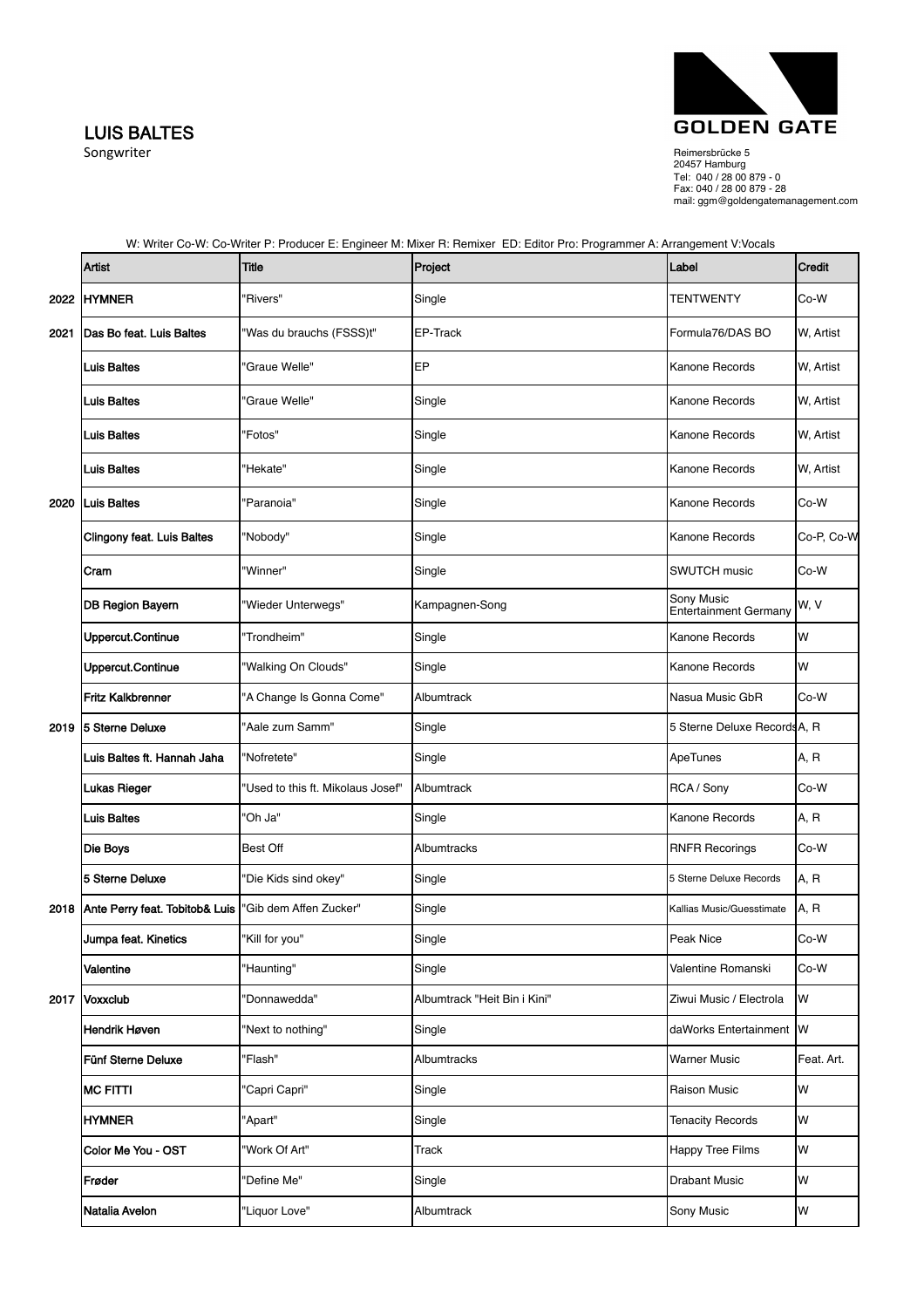## LUIS BALTES

Songwriter



Reimersbrücke 5 20457 Hamburg Tel: 040 / 28 00 879 - 0 Fax: 040 / 28 00 879 - 28 mail: ggm@goldengatemanagement.com

|      | <b>Artist</b>                     | Title                             | Project                      | Label                                      | Credit     |
|------|-----------------------------------|-----------------------------------|------------------------------|--------------------------------------------|------------|
| 2022 | <b>HYMNER</b>                     | Rivers"                           | Single                       | <b>TENTWENTY</b>                           | Co-W       |
| 2021 | Das Bo feat. Luis Baltes          | 'Was du brauchs (FSSS)t"          | EP-Track                     | Formula76/DAS BO                           | W, Artist  |
|      | <b>Luis Baltes</b>                | 'Graue Welle"                     | EP                           | Kanone Records                             | W. Artist  |
|      | <b>Luis Baltes</b>                | Graue Welle"                      | Single                       | Kanone Records                             | W, Artist  |
|      | Luis Baltes                       | 'Fotos"                           | Single                       | Kanone Records                             | W, Artist  |
|      | <b>Luis Baltes</b>                | 'Hekate"                          | Single                       | Kanone Records                             | W, Artist  |
| 2020 | <b>Luis Baltes</b>                | 'Paranoia"                        | Single                       | Kanone Records                             | Co-W       |
|      | <b>Clingony feat. Luis Baltes</b> | 'Nobody"                          | Single                       | Kanone Records                             | Co-P, Co-W |
|      | Cram                              | 'Winner"                          | Single                       | <b>SWUTCH music</b>                        | Co-W       |
|      | <b>DB Region Bayern</b>           | 'Wieder Unterwegs"                | Kampagnen-Song               | Sony Music<br><b>Entertainment Germany</b> | W, V       |
|      | Uppercut.Continue                 | "Trondheim"                       | Single                       | Kanone Records                             | W          |
|      | Uppercut.Continue                 | 'Walking On Clouds"               | Single                       | Kanone Records                             | W          |
|      | <b>Fritz Kalkbrenner</b>          | 'A Change Is Gonna Come"          | Albumtrack                   | Nasua Music GbR                            | Co-W       |
| 2019 | 5 Sterne Deluxe                   | 'Aale zum Samm"                   | Single                       | 5 Sterne Deluxe Records A, R               |            |
|      | Luis Baltes ft. Hannah Jaha       | 'Nofretete"                       | Single                       | ApeTunes                                   | A, R       |
|      | Lukas Rieger                      | 'Used to this ft. Mikolaus Josef" | Albumtrack                   | RCA / Sony                                 | Co-W       |
|      | <b>Luis Baltes</b>                | 'Oh Ja"                           | Single                       | Kanone Records                             | A, R       |
|      | Die Boys                          | <b>Best Off</b>                   | Albumtracks                  | <b>RNFR Recorings</b>                      | Co-W       |
|      | 5 Sterne Deluxe                   | 'Die Kids sind okey"              | Single                       | 5 Sterne Deluxe Records                    | A, R       |
| 2018 | Ante Perry feat. Tobitob& Luis    | 'Gib dem Affen Zucker"            | Single                       | Kallias Music/Guesstimate                  | A, R       |
|      | Jumpa feat. Kinetics              | 'Kill for you"                    | Single                       | <b>Peak Nice</b>                           | Co-W       |
|      | Valentine                         | "Haunting"                        | Single                       | Valentine Romanski                         | Co-W       |
| 2017 | <b>Voxxclub</b>                   | 'Donnawedda"                      | Albumtrack "Heit Bin i Kini" | Ziwui Music / Electrola                    | lw         |
|      | Hendrik Høven                     | 'Next to nothing"                 | Single                       | daWorks Entertainment                      | <b>IW</b>  |
|      | Fünf Sterne Deluxe                | 'Flash"                           | Albumtracks                  | <b>Warner Music</b>                        | Feat. Art. |
|      | <b>MC FITTI</b>                   | 'Capri Capri"                     | Single                       | <b>Raison Music</b>                        | W          |
|      | <b>HYMNER</b>                     | 'Apart"                           | Single                       | <b>Tenacity Records</b>                    | w          |
|      | Color Me You - OST                | 'Work Of Art"                     | Track                        | Happy Tree Films                           | W          |
|      | Frøder                            | 'Define Me"                       | Single                       | <b>Drabant Music</b>                       | w          |
|      | Natalia Avelon                    | "Liquor Love"                     | Albumtrack                   | Sony Music                                 | W          |

W: Writer Co-W: Co-Writer P: Producer E: Engineer M: Mixer R: Remixer ED: Editor Pro: Programmer A: Arrangement V:Vocals